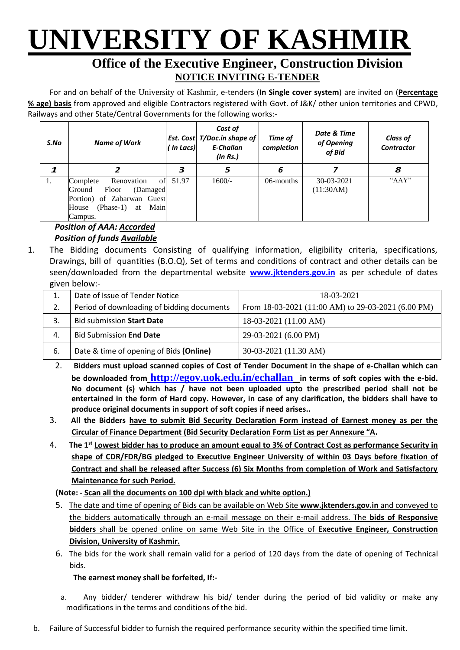# **UNIVERSITY OF KASHMIR**

### **Office of the Executive Engineer, Construction Division NOTICE INVITING E-TENDER**

For and on behalf of the University of Kashmir, e-tenders (**In Single cover system**) are invited on (**Percentage % age) basis** from approved and eligible Contractors registered with Govt. of J&K/ other union territories and CPWD, Railways and other State/Central Governments for the following works:-

| S.No | <b>Name of Work</b>                                                                                                                        | ( In Lacs) | Cost of<br>Est. Cost   T/Doc.in shape of<br>E-Challan<br>(ln Rs.) | Time of<br>completion | Date & Time<br>of Opening<br>of Bid | <b>Class of</b><br><b>Contractor</b> |
|------|--------------------------------------------------------------------------------------------------------------------------------------------|------------|-------------------------------------------------------------------|-----------------------|-------------------------------------|--------------------------------------|
|      |                                                                                                                                            | 3          | 5                                                                 | 6                     |                                     | 8                                    |
| 1.   | Complete<br>Renovation<br>ot<br>Floor<br>(Damaged<br>Ground<br>Portion) of Zabarwan Guest<br>Main<br>$(Phase-1)$<br>House<br>at<br>Campus. | 51.97      | $1600/-$                                                          | 06-months             | 30-03-2021<br>(11:30AM)             | " $AAY$ "                            |

#### *Position of AAA: Accorded Position of funds Available*

1. The Bidding documents Consisting of qualifying information, eligibility criteria, specifications, Drawings, bill of quantities (B.O.Q), Set of terms and conditions of contract and other details can be seen/downloaded from the departmental website **[www.jktenders.gov.in](http://www.pmgsytendersjk.gov.in/)** as per schedule of dates given below:-

| ້  |                                            |                                                    |
|----|--------------------------------------------|----------------------------------------------------|
| ᆠ  | Date of Issue of Tender Notice             | 18-03-2021                                         |
| 2. | Period of downloading of bidding documents | From 18-03-2021 (11:00 AM) to 29-03-2021 (6.00 PM) |
|    | <b>Bid submission Start Date</b>           | 18-03-2021 (11.00 AM)                              |
| 4. | <b>Bid Submission End Date</b>             | 29-03-2021 (6.00 PM)                               |
| 6. | Date & time of opening of Bids (Online)    | 30-03-2021 (11.30 AM)                              |

- 2. **Bidders must upload scanned copies of Cost of Tender Document in the shape of e-Challan which can be downloaded from <http://egov.uok.edu.in/echallan> in terms of soft copies with the e-bid. No document (s) which has / have not been uploaded upto the prescribed period shall not be entertained in the form of Hard copy. However, in case of any clarification, the bidders shall have to produce original documents in support of soft copies if need arises..**
- 3. **All the Bidders have to submit Bid Security Declaration Form instead of Earnest money as per the Circular of Finance Department (Bid Security Declaration Form List as per Annexure "A.**
- 4. **The 1st Lowest bidder has to produce an amount equal to 3% of Contract Cost as performance Security in shape of CDR/FDR/BG pledged to Executive Engineer University of within 03 Days before fixation of Contract and shall be released after Success (6) Six Months from completion of Work and Satisfactory Maintenance for such Period.**

**(Note: - Scan all the documents on 100 dpi with black and white option.)**

- 5. The date and time of opening of Bids can be available on Web Site **[www.jktenders.gov.in](http://www.pmgsytendersjk.gov.in/)** and conveyed to the bidders automatically through an e-mail message on their e-mail address. The **bids of Responsive bidders** shall be opened online on same Web Site in the Office of **Executive Engineer, Construction Division, University of Kashmir.**
- 6. The bids for the work shall remain valid for a period of 120 days from the date of opening of Technical bids.

#### **The earnest money shall be forfeited, If:-**

- a. Any bidder/ tenderer withdraw his bid/ tender during the period of bid validity or make any modifications in the terms and conditions of the bid.
- b. Failure of Successful bidder to furnish the required performance security within the specified time limit.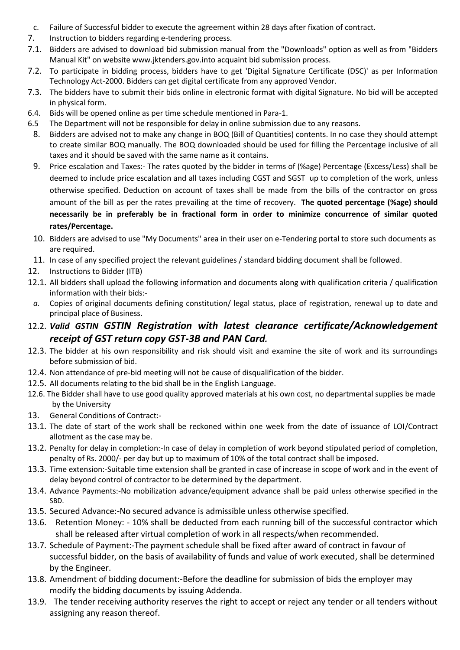- c. Failure of Successful bidder to execute the agreement within 28 days after fixation of contract.
- 7. Instruction to bidders regarding e-tendering process.
- 7.1. Bidders are advised to download bid submission manual from the "Downloads" option as well as from "Bidders Manual Kit" on website [www.jktenders.gov.into](http://www.pmgsytendersjk.gov.into/) acquaint bid submission process.
- 7.2. To participate in bidding process, bidders have to get 'Digital Signature Certificate (DSC)' as per Information Technology Act-2000. Bidders can get digital certificate from any approved Vendor.
- 7.3. The bidders have to submit their bids online in electronic format with digital Signature. No bid will be accepted in physical form.
- 6.4. Bids will be opened online as per time schedule mentioned in Para-1.
- 6.5 The Department will not be responsible for delay in online submission due to any reasons.
- 8. Bidders are advised not to make any change in BOQ (Bill of Quantities) contents. In no case they should attempt to create similar BOQ manually. The BOQ downloaded should be used for filling the Percentage inclusive of all taxes and it should be saved with the same name as it contains.
- 9. Price escalation and Taxes:- The rates quoted by the bidder in terms of (%age) Percentage (Excess/Less) shall be deemed to include price escalation and all taxes including CGST and SGST up to completion of the work, unless otherwise specified. Deduction on account of taxes shall be made from the bills of the contractor on gross amount of the bill as per the rates prevailing at the time of recovery. **The quoted percentage (%age) should necessarily be in preferably be in fractional form in order to minimize concurrence of similar quoted rates/Percentage.**
- 10. Bidders are advised to use "My Documents" area in their user on e-Tendering portal to store such documents as are required.
- 11. In case of any specified project the relevant guidelines / standard bidding document shall be followed.
- 12. Instructions to Bidder (ITB)
- 12.1. All bidders shall upload the following information and documents along with qualification criteria / qualification information with their bids:-
- *a.* Copies of original documents defining constitution/ legal status, place of registration, renewal up to date and principal place of Business.
- 12.2. *Valid GSTIN GSTIN Registration with latest clearance certificate/Acknowledgement receipt of GST return copy GST-3B and PAN Card.*
- 12.3. The bidder at his own responsibility and risk should visit and examine the site of work and its surroundings before submission of bid.
- 12.4. Non attendance of pre-bid meeting will not be cause of disqualification of the bidder.
- 12.5. All documents relating to the bid shall be in the English Language.
- 12.6. The Bidder shall have to use good quality approved materials at his own cost, no departmental supplies be made by the University
- 13. General Conditions of Contract:-
- 13.1. The date of start of the work shall be reckoned within one week from the date of issuance of LOI/Contract allotment as the case may be.
- 13.2. Penalty for delay in completion:-In case of delay in completion of work beyond stipulated period of completion, penalty of Rs. 2000/- per day but up to maximum of 10% of the total contract shall be imposed.
- 13.3. Time extension:-Suitable time extension shall be granted in case of increase in scope of work and in the event of delay beyond control of contractor to be determined by the department.
- 13.4. Advance Payments:-No mobilization advance/equipment advance shall be paid unless otherwise specified in the SBD.
- 13.5. Secured Advance:-No secured advance is admissible unless otherwise specified.
- 13.6. Retention Money: 10% shall be deducted from each running bill of the successful contractor which shall be released after virtual completion of work in all respects/when recommended.
- 13.7. Schedule of Payment:-The payment schedule shall be fixed after award of contract in favour of successful bidder, on the basis of availability of funds and value of work executed, shall be determined by the Engineer.
- 13.8. Amendment of bidding document:-Before the deadline for submission of bids the employer may modify the bidding documents by issuing Addenda.
- 13.9. The tender receiving authority reserves the right to accept or reject any tender or all tenders without assigning any reason thereof.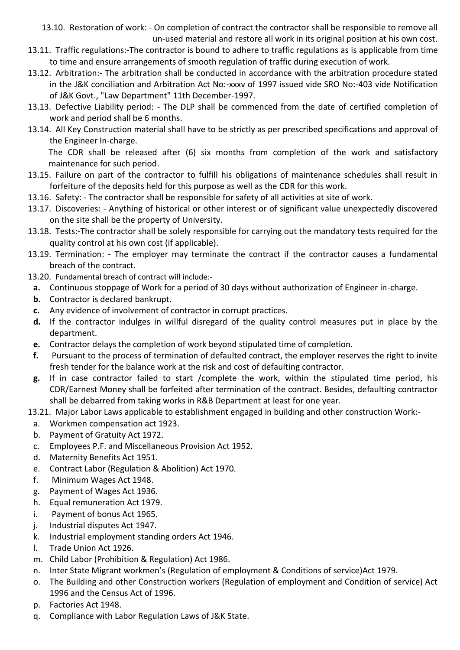13.10. Restoration of work: - On completion of contract the contractor shall be responsible to remove all un-used material and restore all work in its original position at his own cost.

- 13.11. Traffic regulations:-The contractor is bound to adhere to traffic regulations as is applicable from time to time and ensure arrangements of smooth regulation of traffic during execution of work.
- 13.12. Arbitration:- The arbitration shall be conducted in accordance with the arbitration procedure stated in the J&K conciliation and Arbitration Act No:-xxxv of 1997 issued vide SRO No:-403 vide Notification of J&K Govt., "Law Department" 11th December-1997.
- 13.13. Defective Liability period: The DLP shall be commenced from the date of certified completion of work and period shall be 6 months.
- 13.14. All Key Construction material shall have to be strictly as per prescribed specifications and approval of the Engineer In-charge.

The CDR shall be released after (6) six months from completion of the work and satisfactory maintenance for such period.

- 13.15. Failure on part of the contractor to fulfill his obligations of maintenance schedules shall result in forfeiture of the deposits held for this purpose as well as the CDR for this work.
- 13.16. Safety: The contractor shall be responsible for safety of all activities at site of work.
- 13.17. Discoveries: Anything of historical or other interest or of significant value unexpectedly discovered on the site shall be the property of University.
- 13.18. Tests:-The contractor shall be solely responsible for carrying out the mandatory tests required for the quality control at his own cost (if applicable).
- 13.19. Termination: The employer may terminate the contract if the contractor causes a fundamental breach of the contract.
- 13.20. Fundamental breach of contract will include:
	- **a.** Continuous stoppage of Work for a period of 30 days without authorization of Engineer in-charge.
	- **b.** Contractor is declared bankrupt.
	- **c.** Any evidence of involvement of contractor in corrupt practices.
	- **d.** If the contractor indulges in willful disregard of the quality control measures put in place by the department.
	- **e.** Contractor delays the completion of work beyond stipulated time of completion.
	- **f.** Pursuant to the process of termination of defaulted contract, the employer reserves the right to invite fresh tender for the balance work at the risk and cost of defaulting contractor.
	- **g.** If in case contractor failed to start /complete the work, within the stipulated time period, his CDR/Earnest Money shall be forfeited after termination of the contract. Besides, defaulting contractor shall be debarred from taking works in R&B Department at least for one year.
- 13.21. Major Labor Laws applicable to establishment engaged in building and other construction Work:
	- a. Workmen compensation act 1923.
	- b. Payment of Gratuity Act 1972.
	- c. Employees P.F. and Miscellaneous Provision Act 1952.
	- d. Maternity Benefits Act 1951.
	- e. Contract Labor (Regulation & Abolition) Act 1970.
	- f. Minimum Wages Act 1948.
	- g. Payment of Wages Act 1936.
	- h. Equal remuneration Act 1979.
	- i. Payment of bonus Act 1965.
	- j. Industrial disputes Act 1947.
	- k. Industrial employment standing orders Act 1946.
	- l. Trade Union Act 1926.
	- m. Child Labor (Prohibition & Regulation) Act 1986.
	- n. Inter State Migrant workmen's (Regulation of employment & Conditions of service)Act 1979.
	- o. The Building and other Construction workers (Regulation of employment and Condition of service) Act 1996 and the Census Act of 1996.
	- p. Factories Act 1948.
	- q. Compliance with Labor Regulation Laws of J&K State.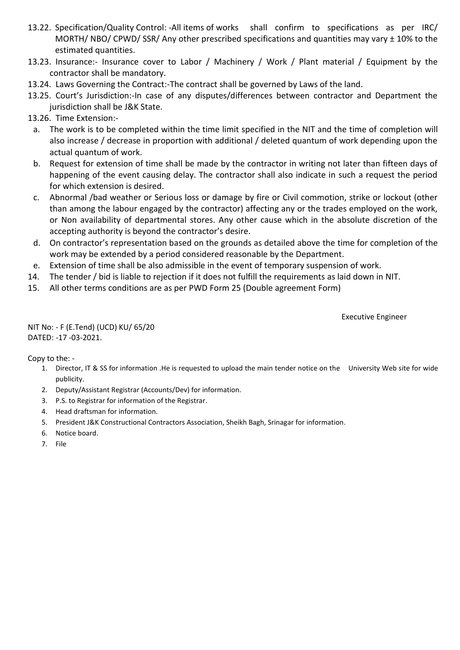- 13.22. Specification/Quality Control: -All items of works shall confirm to specifications as per IRC/ MORTH/ NBO/ CPWD/ SSR/ Any other prescribed specifications and quantities may vary ± 10% to the estimated quantities.
- 13.23. Insurance:- Insurance cover to Labor / Machinery / Work / Plant material / Equipment by the contractor shall be mandatory.
- 13.24. Laws Governing the Contract:-The contract shall be governed by Laws of the land.
- 13.25. Court's Jurisdiction:-In case of any disputes/differences between contractor and Department the jurisdiction shall be J&K State.
- 13.26. Time Extension:
	- a. The work is to be completed within the time limit specified in the NIT and the time of completion will also increase / decrease in proportion with additional / deleted quantum of work depending upon the actual quantum of work.
	- b. Request for extension of time shall be made by the contractor in writing not later than fifteen days of happening of the event causing delay. The contractor shall also indicate in such a request the period for which extension is desired.
	- c. Abnormal /bad weather or Serious loss or damage by fire or Civil commotion, strike or lockout (other than among the labour engaged by the contractor) affecting any or the trades employed on the work, or Non availability of departmental stores. Any other cause which in the absolute discretion of the accepting authority is beyond the contractor's desire.
	- d. On contractor's representation based on the grounds as detailed above the time for completion of the work may be extended by a period considered reasonable by the Department.
- e. Extension of time shall be also admissible in the event of temporary suspension of work.
- 14. The tender / bid is liable to rejection if it does not fulfill the requirements as laid down in NIT.
- 15. All other terms conditions are as per PWD Form 25 (Double agreement Form)

Executive Engineer

NIT No: - F (E.Tend) (UCD) KU/ 65/20 DATED: -17 -03-2021.

Copy to the: -

- 1. Director, IT & SS for information .He is requested to upload the main tender notice on the University Web site for wide publicity.
- 2. Deputy/Assistant Registrar (Accounts/Dev) for information.
- 3. P.S. to Registrar for information of the Registrar.
- 4. Head draftsman for information.
- 5. President J&K Constructional Contractors Association, Sheikh Bagh, Srinagar for information.
- 6. Notice board.
- 7. File